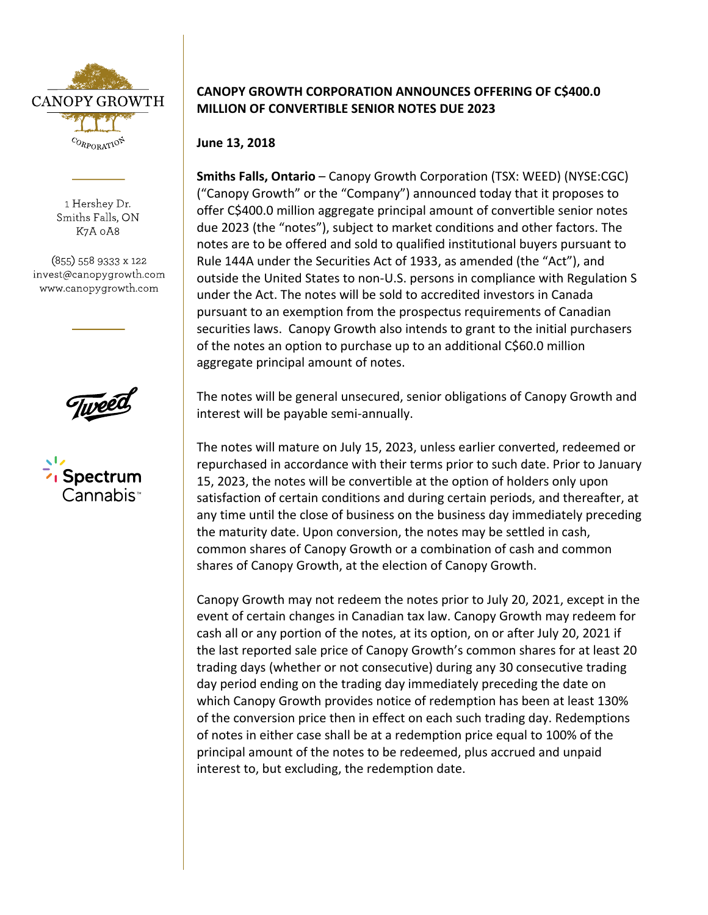

1 Hershey Dr. Smiths Falls, ON K7A 0A8

(855) 558 9333 x 122 invest@canopygrowth.com www.canopygrowth.com



## **CANOPY GROWTH CORPORATION ANNOUNCES OFFERING OF C\$400.0 MILLION OF CONVERTIBLE SENIOR NOTES DUE 2023**

## **June 13, 2018**

**Smiths Falls, Ontario** – Canopy Growth Corporation (TSX: WEED) (NYSE:CGC) ("Canopy Growth" or the "Company") announced today that it proposes to offer C\$400.0 million aggregate principal amount of convertible senior notes due 2023 (the "notes"), subject to market conditions and other factors. The notes are to be offered and sold to qualified institutional buyers pursuant to Rule 144A under the Securities Act of 1933, as amended (the "Act"), and outside the United States to non-U.S. persons in compliance with Regulation S under the Act. The notes will be sold to accredited investors in Canada pursuant to an exemption from the prospectus requirements of Canadian securities laws. Canopy Growth also intends to grant to the initial purchasers of the notes an option to purchase up to an additional C\$60.0 million aggregate principal amount of notes.

The notes will be general unsecured, senior obligations of Canopy Growth and interest will be payable semi-annually.

The notes will mature on July 15, 2023, unless earlier converted, redeemed or repurchased in accordance with their terms prior to such date. Prior to January 15, 2023, the notes will be convertible at the option of holders only upon satisfaction of certain conditions and during certain periods, and thereafter, at any time until the close of business on the business day immediately preceding the maturity date. Upon conversion, the notes may be settled in cash, common shares of Canopy Growth or a combination of cash and common shares of Canopy Growth, at the election of Canopy Growth.

Canopy Growth may not redeem the notes prior to July 20, 2021, except in the event of certain changes in Canadian tax law. Canopy Growth may redeem for cash all or any portion of the notes, at its option, on or after July 20, 2021 if the last reported sale price of Canopy Growth's common shares for at least 20 trading days (whether or not consecutive) during any 30 consecutive trading day period ending on the trading day immediately preceding the date on which Canopy Growth provides notice of redemption has been at least 130% of the conversion price then in effect on each such trading day. Redemptions of notes in either case shall be at a redemption price equal to 100% of the principal amount of the notes to be redeemed, plus accrued and unpaid interest to, but excluding, the redemption date.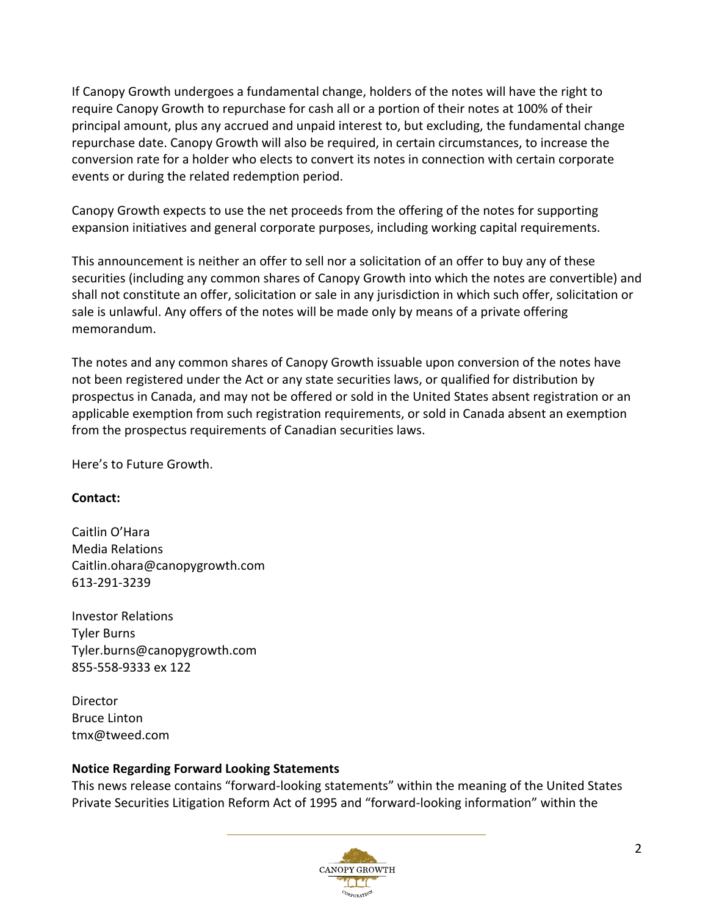If Canopy Growth undergoes a fundamental change, holders of the notes will have the right to require Canopy Growth to repurchase for cash all or a portion of their notes at 100% of their principal amount, plus any accrued and unpaid interest to, but excluding, the fundamental change repurchase date. Canopy Growth will also be required, in certain circumstances, to increase the conversion rate for a holder who elects to convert its notes in connection with certain corporate events or during the related redemption period.

Canopy Growth expects to use the net proceeds from the offering of the notes for supporting expansion initiatives and general corporate purposes, including working capital requirements.

This announcement is neither an offer to sell nor a solicitation of an offer to buy any of these securities (including any common shares of Canopy Growth into which the notes are convertible) and shall not constitute an offer, solicitation or sale in any jurisdiction in which such offer, solicitation or sale is unlawful. Any offers of the notes will be made only by means of a private offering memorandum.

The notes and any common shares of Canopy Growth issuable upon conversion of the notes have not been registered under the Act or any state securities laws, or qualified for distribution by prospectus in Canada, and may not be offered or sold in the United States absent registration or an applicable exemption from such registration requirements, or sold in Canada absent an exemption from the prospectus requirements of Canadian securities laws.

Here's to Future Growth.

## **Contact:**

Caitlin O'Hara Media Relations Caitlin.ohara@canopygrowth.com 613-291-3239

Investor Relations Tyler Burns Tyler.burns@canopygrowth.com 855-558-9333 ex 122

Director Bruce Linton tmx@tweed.com

## **Notice Regarding Forward Looking Statements**

This news release contains "forward-looking statements" within the meaning of the United States Private Securities Litigation Reform Act of 1995 and "forward-looking information" within the